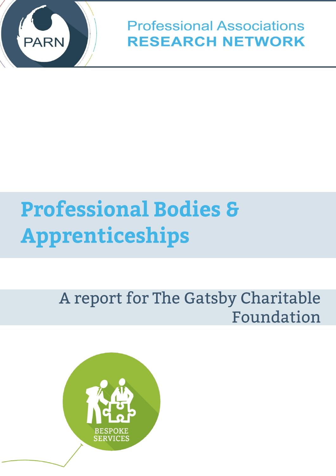

**Professional Associations RESEARCH NETWORK** 

# **Professional Bodies & Apprenticeships**

# A report for The Gatsby Charitable Foundation

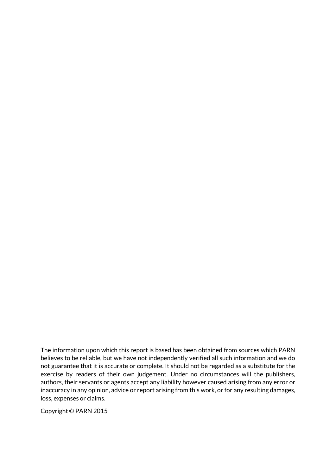The information upon which this report is based has been obtained from sources which PARN believes to be reliable, but we have not independently verified all such information and we do not guarantee that it is accurate or complete. It should not be regarded as a substitute for the exercise by readers of their own judgement. Under no circumstances will the publishers, authors, their servants or agents accept any liability however caused arising from any error or inaccuracy in any opinion, advice or report arising from this work, or for any resulting damages, loss, expenses or claims.

Copyright © PARN 2015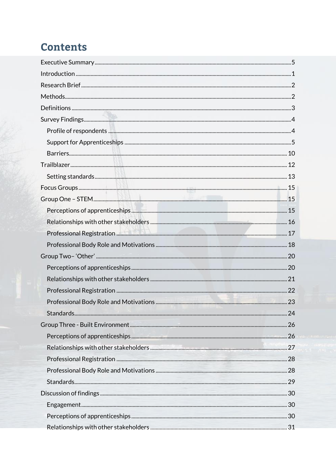# **Contents**

| Professional Registration |  |
|---------------------------|--|
|                           |  |
|                           |  |
|                           |  |
|                           |  |
|                           |  |
|                           |  |
|                           |  |
|                           |  |
|                           |  |
|                           |  |
|                           |  |
|                           |  |
|                           |  |
|                           |  |
|                           |  |
|                           |  |
|                           |  |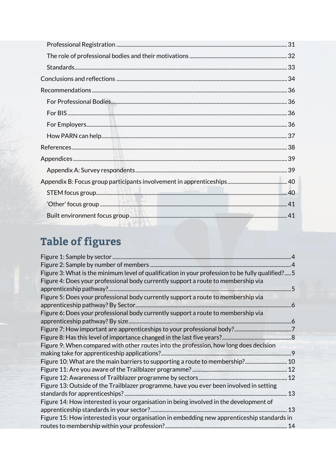# Table of figures

| Figure 3: What is the minimum level of qualification in your profession to be fully qualified? 5 |  |
|--------------------------------------------------------------------------------------------------|--|
| Figure 4: Does your professional body currently support a route to membership via                |  |
|                                                                                                  |  |
| Figure 5: Does your professional body currently support a route to membership via                |  |
|                                                                                                  |  |
| Figure 6: Does your professional body currently support a route to membership via                |  |
|                                                                                                  |  |
|                                                                                                  |  |
|                                                                                                  |  |
| Figure 9: When compared with other routes into the profession, how long does decision            |  |
|                                                                                                  |  |
| Figure 10: What are the main barriers to supporting a route to membership? 10                    |  |
|                                                                                                  |  |
|                                                                                                  |  |
| Figure 13: Outside of the Trailblazer programme, have you ever been involved in setting          |  |
|                                                                                                  |  |
| Figure 14: How interested is your organisation in being involved in the development of           |  |
|                                                                                                  |  |
| Figure 15: How interested is your organisation in embedding new apprenticeship standards in      |  |
|                                                                                                  |  |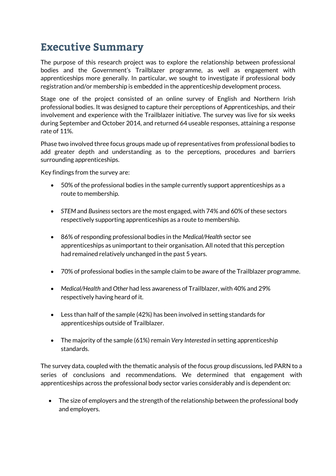# <span id="page-4-0"></span>**Executive Summary**

The purpose of this research project was to explore the relationship between professional bodies and the Government's Trailblazer programme, as well as engagement with apprenticeships more generally. In particular, we sought to investigate if professional body registration and/or membership is embedded in the apprenticeship development process.

Stage one of the project consisted of an online survey of English and Northern Irish professional bodies. It was designed to capture their perceptions of Apprenticeships, and their involvement and experience with the Trailblazer initiative. The survey was live for six weeks during September and October 2014, and returned 64 useable responses, attaining a response rate of 11%.

Phase two involved three focus groups made up of representatives from professional bodies to add greater depth and understanding as to the perceptions, procedures and barriers surrounding apprenticeships.

Key findings from the survey are:

- 50% of the professional bodies in the sample currently support apprenticeships as a route to membership.
- *STEM* and *Business* sectors are the most engaged, with 74% and 60% of these sectors respectively supporting apprenticeships as a route to membership.
- 86% of responding professional bodies in the *Medical/Health* sector see apprenticeships as unimportant to their organisation. All noted that this perception had remained relatively unchanged in the past 5 years.
- 70% of professional bodies in the sample claim to be aware of the Trailblazer programme.
- *Medical/Health* and *Other* had less awareness of Trailblazer, with 40% and 29% respectively having heard of it.
- Less than half of the sample (42%) has been involved in setting standards for apprenticeships outside of Trailblazer.
- The majority of the sample (61%) remain *Very Interested* in setting apprenticeship standards.

The survey data, coupled with the thematic analysis of the focus group discussions, led PARN to a series of conclusions and recommendations. We determined that engagement with apprenticeships across the professional body sector varies considerably and is dependent on:

• The size of employers and the strength of the relationship between the professional body and employers.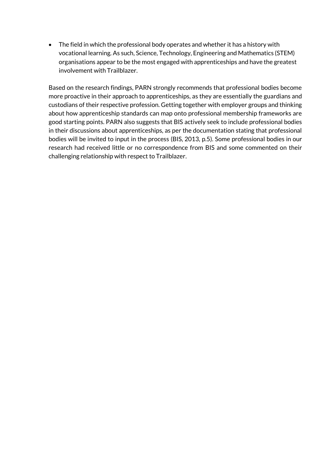The field in which the professional body operates and whether it has a history with vocational learning. As such, Science, Technology, Engineering and Mathematics (STEM) organisations appear to be the most engaged with apprenticeships and have the greatest involvement with Trailblazer.

Based on the research findings, PARN strongly recommends that professional bodies become more proactive in their approach to apprenticeships, as they are essentially the guardians and custodians of their respective profession. Getting together with employer groups and thinking about how apprenticeship standards can map onto professional membership frameworks are good starting points. PARN also suggests that BIS actively seek to include professional bodies in their discussions about apprenticeships, as per the documentation stating that professional bodies will be invited to input in the process (BIS, 2013, p.5). Some professional bodies in our research had received little or no correspondence from BIS and some commented on their challenging relationship with respect to Trailblazer.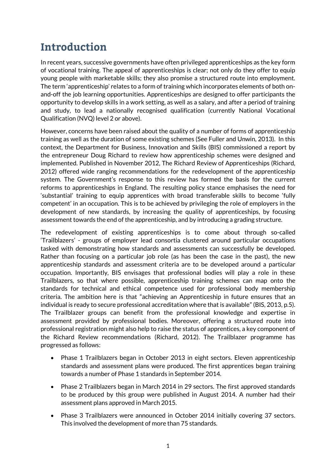# <span id="page-6-0"></span>Introduction

In recent years, successive governments have often privileged apprenticeships as the key form of vocational training. The appeal of apprenticeships is clear; not only do they offer to equip young people with marketable skills; they also promise a structured route into employment. The term 'apprenticeship' relates to a form of training which incorporates elements of both onand-off the job learning opportunities. Apprenticeships are designed to offer participants the opportunity to develop skills in a work setting, as well as a salary, and after a period of training and study, to lead a nationally recognised qualification (currently National Vocational Qualification (NVQ) level 2 or above).

However, concerns have been raised about the quality of a number of forms of apprenticeship training as well as the duration of some existing schemes (See Fuller and Unwin, 2013). In this context, the Department for Business, Innovation and Skills (BIS) commissioned a report by the entrepreneur Doug Richard to review how apprenticeship schemes were designed and implemented. Published in November 2012, The Richard Review of Apprenticeships (Richard, 2012) offered wide ranging recommendations for the redevelopment of the apprenticeship system. The Government's response to this review has formed the basis for the current reforms to apprenticeships in England. The resulting policy stance emphasises the need for 'substantial' training to equip apprentices with broad transferable skills to become 'fully competent' in an occupation. This is to be achieved by privileging the role of employers in the development of new standards, by increasing the quality of apprenticeships, by focusing assessment towards the end of the apprenticeship, and by introducing a grading structure.

The redevelopment of existing apprenticeships is to come about through so-called 'Trailblazers' - groups of employer lead consortia clustered around particular occupations tasked with demonstrating how standards and assessments can successfully be developed. Rather than focusing on a particular job role (as has been the case in the past), the new apprenticeship standards and assessment criteria are to be developed around a particular occupation. Importantly, BIS envisages that professional bodies will play a role in these Trailblazers, so that where possible, apprenticeship training schemes can map onto the standards for technical and ethical competence used for professional body membership criteria. The ambition here is that "achieving an Apprenticeship in future ensures that an individual is ready to secure professional accreditation where that is available" (BIS, 2013, p.5). The Trailblazer groups can benefit from the professional knowledge and expertise in assessment provided by professional bodies. Moreover, offering a structured route into professional registration might also help to raise the status of apprentices, a key component of the Richard Review recommendations (Richard, 2012). The Trailblazer programme has progressed as follows:

- Phase 1 Trailblazers began in October 2013 in eight sectors. Eleven apprenticeship standards and assessment plans were produced. The first apprentices began training towards a number of Phase 1 standards in September 2014.
- Phase 2 Trailblazers began in March 2014 in 29 sectors. The first approved standards to be produced by this group were published in August 2014. A number had their assessment plans approved in March 2015.
- Phase 3 Trailblazers were announced in October 2014 initially covering 37 sectors. This involved the development of more than 75 standards.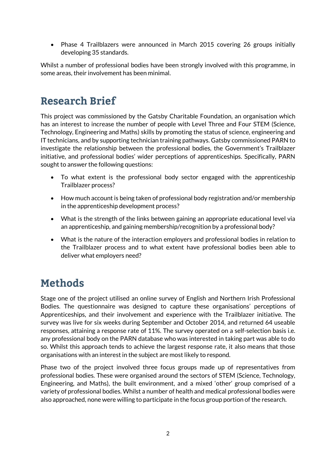Phase 4 Trailblazers were announced in March 2015 covering 26 groups initially developing 35 standards.

Whilst a number of professional bodies have been strongly involved with this programme, in some areas, their involvement has been minimal.

# <span id="page-7-0"></span>**Research Brief**

This project was commissioned by the Gatsby Charitable Foundation, an organisation which has an interest to increase the number of people with Level Three and Four STEM (Science, Technology, Engineering and Maths) skills by promoting the status of science, engineering and IT technicians, and by supporting technician training pathways. Gatsby commissioned PARN to investigate the relationship between the professional bodies, the Government's Trailblazer initiative, and professional bodies' wider perceptions of apprenticeships. Specifically, PARN sought to answer the following questions:

- To what extent is the professional body sector engaged with the apprenticeship Trailblazer process?
- How much account is being taken of professional body registration and/or membership in the apprenticeship development process?
- What is the strength of the links between gaining an appropriate educational level via an apprenticeship, and gaining membership/recognition by a professional body?
- What is the nature of the interaction employers and professional bodies in relation to the Trailblazer process and to what extent have professional bodies been able to deliver what employers need?

# <span id="page-7-1"></span>**Methods**

Stage one of the project utilised an online survey of English and Northern Irish Professional Bodies. The questionnaire was designed to capture these organisations' perceptions of Apprenticeships, and their involvement and experience with the Trailblazer initiative. The survey was live for six weeks during September and October 2014, and returned 64 useable responses, attaining a response rate of 11%. The survey operated on a self-selection basis i.e. any professional body on the PARN database who was interested in taking part was able to do so. Whilst this approach tends to achieve the largest response rate, it also means that those organisations with an interest in the subject are most likely to respond.

Phase two of the project involved three focus groups made up of representatives from professional bodies. These were organised around the sectors of STEM (Science, Technology, Engineering, and Maths), the built environment, and a mixed 'other' group comprised of a variety of professional bodies. Whilst a number of health and medical professional bodies were also approached, none were willing to participate in the focus group portion of the research.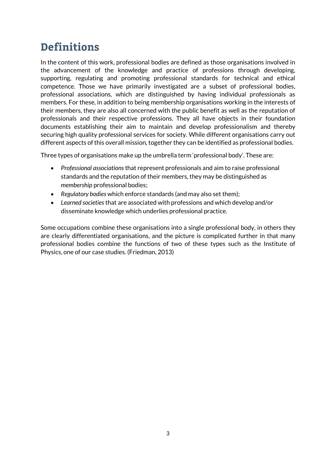# <span id="page-8-0"></span>**Definitions**

In the content of this work, professional bodies are defined as those organisations involved in the advancement of the knowledge and practice of professions through developing, supporting, regulating and promoting professional standards for technical and ethical competence. Those we have primarily investigated are a subset of professional bodies, professional associations, which are distinguished by having individual professionals as members. For these, in addition to being membership organisations working in the interests of their members, they are also all concerned with the public benefit as well as the reputation of professionals and their respective professions. They all have objects in their foundation documents establishing their aim to maintain and develop professionalism and thereby securing high quality professional services for society. While different organisations carry out different aspects of this overall mission, together they can be identified as professional bodies.

Three types of organisations make up the umbrella term 'professional body'. These are:

- *Professional associations* that represent professionals and aim to raise professional standards and the reputation of their members, they may be distinguished as *membership* professional bodies;
- *Regulatory bodies* which enforce standards (and may also set them);
- *Learned societies* that are associated with professions and which develop and/or disseminate knowledge which underlies professional practice.

Some occupations combine these organisations into a single professional body, in others they are clearly differentiated organisations, and the picture is complicated further in that many professional bodies combine the functions of two of these types such as the Institute of Physics, one of our case studies. (Friedman, 2013)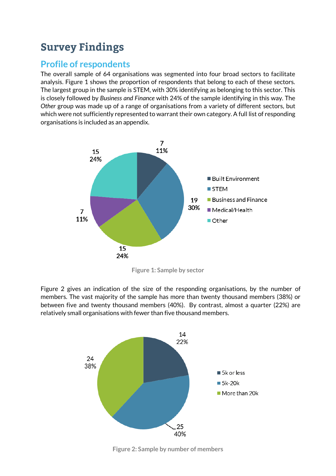# <span id="page-9-0"></span>**Survey Findings**

### <span id="page-9-1"></span>**Profile of respondents**

The overall sample of 64 organisations was segmented into four broad sectors to facilitate analysis. Figure 1 shows the proportion of respondents that belong to each of these sectors. The largest group in the sample is STEM, with 30% identifying as belonging to this sector. This is closely followed by *Business and Finance* with 24% of the sample identifying in this way. The *Other* group was made up of a range of organisations from a variety of different sectors, but which were not sufficiently represented to warrant their own category. A full list of responding organisations is included as an appendix.



**Figure 1: Sample by sector**

Figure 2 gives an indication of the size of the responding organisations, by the number of members. The vast majority of the sample has more than twenty thousand members (38%) or between five and twenty thousand members (40%). By contrast, almost a quarter (22%) are relatively small organisations with fewer than five thousand members.



**Figure 2: Sample by number of members**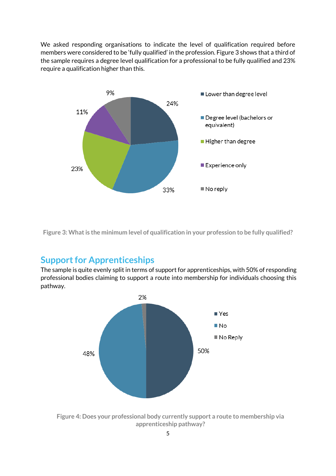We asked responding organisations to indicate the level of qualification required before members were considered to be 'fully qualified' in the profession. Figure 3 shows that a third of the sample requires a degree level qualification for a professional to be fully qualified and 23% require a qualification higher than this.



<span id="page-10-1"></span>**Figure 3: What is the minimum level of qualification in your profession to be fully qualified?**

#### <span id="page-10-0"></span>**Support for Apprenticeships**

The sample is quite evenly split in terms of support for apprenticeships, with 50% of responding professional bodies claiming to support a route into membership for individuals choosing this pathway.



**Figure 4: Does your professional body currently support a route to membership via apprenticeship pathway?**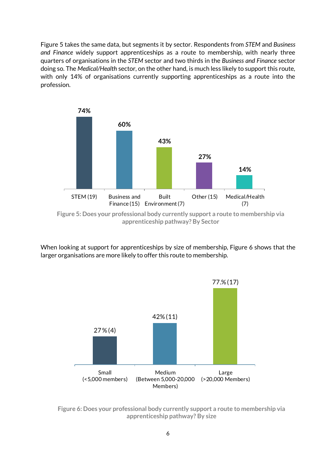Figure 5 takes the same data, but segments it by sector. Respondents from *STEM* and *Business and Finance* widely support apprenticeships as a route to membership, with nearly three quarters of organisations in the *STEM* sector and two thirds in the *Business and Finance* sector doing so. The *Medical/Health* sector, on the other hand, is much less likely to support this route, with only 14% of organisations currently supporting apprenticeships as a route into the profession.



**Figure 5: Does your professional body currently support a route to membership via apprenticeship pathway? By Sector**

When looking at support for apprenticeships by size of membership, Figure 6 shows that the larger organisations are more likely to offer this route to membership.



**Figure 6: Does your professional body currently support a route to membership via apprenticeship pathway? By size**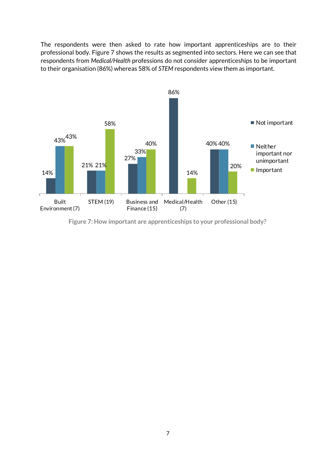The respondents were then asked to rate how important apprenticeships are to their professional body. Figure 7 shows the results as segmented into sectors. Here we can see that respondents from *Medical/Health* professions do not consider apprenticeships to be important to their organisation (86%) whereas 58% of *STEM* respondents view them as important.



**Figure 7: How important are apprenticeships to your professional body?**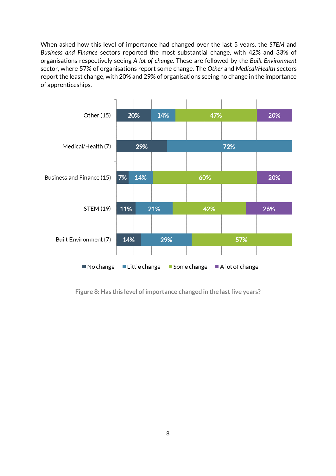When asked how this level of importance had changed over the last 5 years, the *STEM* and *Business and Finance* sectors reported the most substantial change, with 42% and 33% of organisations respectively seeing *A lot of change*. These are followed by the *Built Environment* sector, where 57% of organisations report some change. The *Other* and *Medical/Health* sectors report the least change, with 20% and 29% of organisations seeing no change in the importance of apprenticeships.



<span id="page-13-0"></span>**Figure 8: Has this level of importance changed in the last five years?**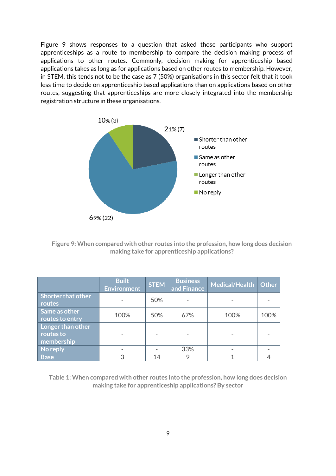Figure 9 shows responses to a question that asked those participants who support apprenticeships as a route to membership to compare the decision making process of applications to other routes. Commonly, decision making for apprenticeship based applications takes as long as for applications based on other routes to membership. However, in STEM, this tends not to be the case as 7 (50%) organisations in this sector felt that it took less time to decide on apprenticeship based applications than on applications based on other routes, suggesting that apprenticeships are more closely integrated into the membership registration structure in these organisations.



**Figure 9: When compared with other routes into the profession, how long does decision making take for apprenticeship applications?**

|                                              | <b>Built</b><br><b>Environment</b> | <b>STEM</b> | <b>Business</b><br>and Finance | Medical/Health | <b>Other</b> |
|----------------------------------------------|------------------------------------|-------------|--------------------------------|----------------|--------------|
| Shorter that other<br>routes <sup>1</sup>    |                                    | 50%         |                                |                |              |
| Same as other<br>routes to entry             | 100%                               | 50%         | 67%                            | 100%           | 100%         |
| Longer than other<br>routes to<br>membership |                                    |             |                                |                |              |
| No reply                                     |                                    |             | 33%                            |                |              |
| <b>Base</b>                                  | 3                                  | 14          |                                |                |              |

**Table 1: When compared with other routes into the profession, how long does decision making take for apprenticeship applications? By sector**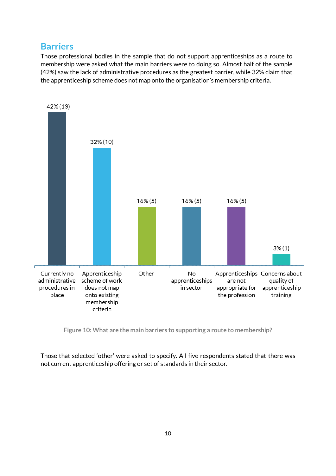#### <span id="page-15-0"></span>**Barriers**

Those professional bodies in the sample that do not support apprenticeships as a route to membership were asked what the main barriers were to doing so. Almost half of the sample (42%) saw the lack of administrative procedures as the greatest barrier, while 32% claim that the apprenticeship scheme does not map onto the organisation's membership criteria.



<span id="page-15-1"></span>**Figure 10: What are the main barriers to supporting a route to membership?**

Those that selected 'other' were asked to specify. All five respondents stated that there was not current apprenticeship offering or set of standards in their sector.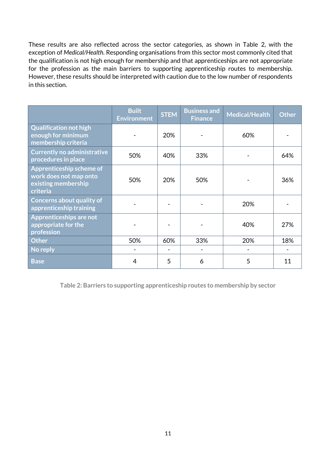These results are also reflected across the sector categories, as shown in Table 2, with the exception of *Medical/Health*. Responding organisations from this sector most commonly cited that the qualification is not high enough for membership and that apprenticeships are not appropriate for the profession as the main barriers to supporting apprenticeship routes to membership. However, these results should be interpreted with caution due to the low number of respondents in this section.

|                                                                                       | <b>Built</b><br><b>Environment</b> | <b>STEM</b> | <b>Business and</b><br><b>Finance</b> | <b>Medical/Health</b> | <b>Other</b> |
|---------------------------------------------------------------------------------------|------------------------------------|-------------|---------------------------------------|-----------------------|--------------|
| <b>Qualification not high</b><br>enough for minimum<br>membership criteria            |                                    | 20%         |                                       | 60%                   |              |
| <b>Currently no administrative</b><br>procedures in place                             | 50%                                | 40%         | 33%                                   |                       | 64%          |
| Apprenticeship scheme of<br>work does not map onto<br>existing membership<br>criteria | 50%                                | 20%         | 50%                                   |                       | 36%          |
| <b>Concerns about quality of</b><br>apprenticeship training                           |                                    |             |                                       | 20%                   |              |
| Apprenticeships are not<br>appropriate for the<br>profession                          |                                    |             |                                       | 40%                   | 27%          |
| <b>Other</b>                                                                          | 50%                                | 60%         | 33%                                   | 20%                   | 18%          |
| No reply                                                                              |                                    |             |                                       |                       |              |
| <b>Base</b>                                                                           | 4                                  | 5           | 6                                     | 5                     | 11           |

**Table 2: Barriers to supporting apprenticeship routes to membership by sector**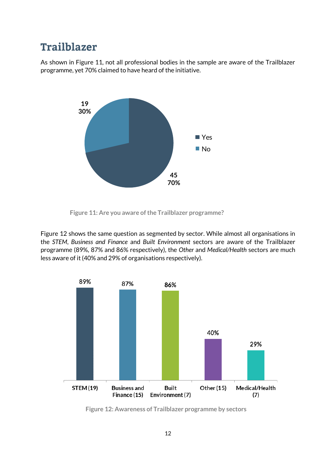### <span id="page-17-0"></span>**Trailblazer**

As shown in Figure 11, not all professional bodies in the sample are aware of the Trailblazer programme, yet 70% claimed to have heard of the initiative.



**Figure 11: Are you aware of the Trailblazer programme?**

Figure 12 shows the same question as segmented by sector. While almost all organisations in the *STEM*, *Business and Finance* and *Built Environment* sectors are aware of the Trailblazer programme (89%, 87% and 86% respectively), the *Other* and *Medical/Health* sectors are much less aware of it (40% and 29% of organisations respectively).



**Figure 12: Awareness of Trailblazer programme by sectors**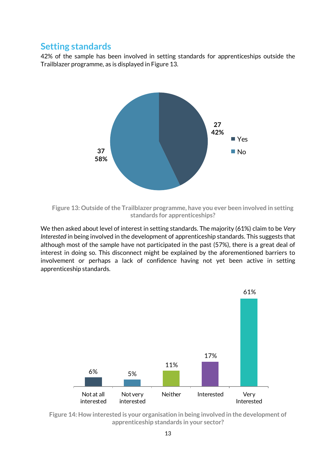#### <span id="page-18-0"></span>**Setting standards**

42% of the sample has been involved in setting standards for apprenticeships outside the Trailblazer programme, as is displayed in Figure 13.



**Figure 13: Outside of the Trailblazer programme, have you ever been involved in setting standards for apprenticeships?**

We then asked about level of interest in setting standards. The majority (61%) claim to be *Very Interested* in being involved in the development of apprenticeship standards. This suggests that although most of the sample have not participated in the past (57%), there is a great deal of interest in doing so. This disconnect might be explained by the aforementioned barriers to involvement or perhaps a lack of confidence having not yet been active in setting apprenticeship standards.



<span id="page-18-1"></span>**Figure 14: How interested is your organisation in being involved in the development of apprenticeship standards in your sector?**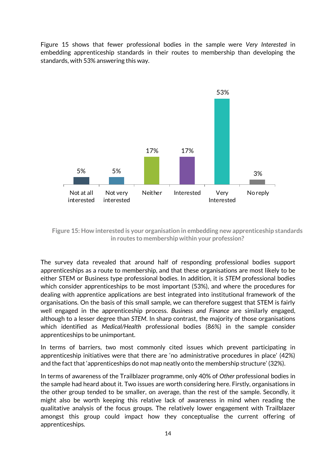Figure 15 shows that fewer professional bodies in the sample were *Very Interested* in embedding apprenticeship standards in their routes to membership than developing the standards, with 53% answering this way.



**Figure 15: How interested is your organisation in embedding new apprenticeship standards in routes to membership within your profession?**

The survey data revealed that around half of responding professional bodies support apprenticeships as a route to membership, and that these organisations are most likely to be either STEM or Business type professional bodies. In addition, it is *STEM* professional bodies which consider apprenticeships to be most important (53%), and where the procedures for dealing with apprentice applications are best integrated into institutional framework of the organisations. On the basis of this small sample, we can therefore suggest that STEM is fairly well engaged in the apprenticeship process. *Business and Finance* are similarly engaged, although to a lesser degree than *STEM*. In sharp contrast, the majority of those organisations which identified as *Medical/Health* professional bodies (86%) in the sample consider apprenticeships to be unimportant.

In terms of barriers, two most commonly cited issues which prevent participating in apprenticeship initiatives were that there are 'no administrative procedures in place' (42%) and the fact that 'apprenticeships do not map neatly onto the membership structure' (32%).

In terms of awareness of the Trailblazer programme, only 40% of *Other* professional bodies in the sample had heard about it. Two issues are worth considering here. Firstly, organisations in the other group tended to be smaller, on average, than the rest of the sample. Secondly, it might also be worth keeping this relative lack of awareness in mind when reading the qualitative analysis of the focus groups. The relatively lower engagement with Trailblazer amongst this group could impact how they conceptualise the current offering of apprenticeships.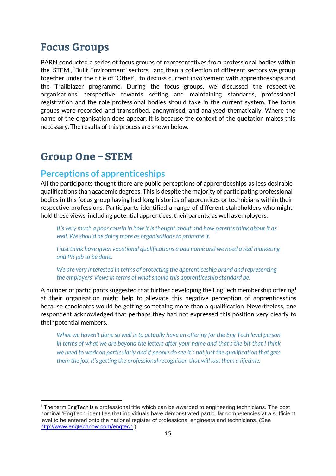### <span id="page-20-0"></span>**Focus Groups**

PARN conducted a series of focus groups of representatives from professional bodies within the 'STEM', 'Built Environment' sectors, and then a collection of different sectors we group together under the title of 'Other', to discuss current involvement with apprenticeships and the Trailblazer programme. During the focus groups, we discussed the respective organisations perspective towards setting and maintaining standards, professional registration and the role professional bodies should take in the current system. The focus groups were recorded and transcribed, anonymised, and analysed thematically. Where the name of the organisation does appear, it is because the context of the quotation makes this necessary. The results of this process are shown below.

### <span id="page-20-1"></span>**Group One - STEM**

.

#### <span id="page-20-2"></span>**Perceptions of apprenticeships**

All the participants thought there are public perceptions of apprenticeships as less desirable qualifications than academic degrees. This is despite the majority of participating professional bodies in this focus group having had long histories of apprentices or technicians within their respective professions. Participants identified a range of different stakeholders who might hold these views, including potential apprentices, their parents, as well as employers.

*It's very much a poor cousin in how it is thought about and how parents think about it as well. We should be doing more as organisations to promote it.* 

*I just think have given vocational qualifications a bad name and we need a real marketing and PR job to be done.*

*We are very interested in terms of protecting the apprenticeship brand and representing the employers' views in terms of what should this apprenticeship standard be.*

A number of participants suggested that further developing the EngTech membership offering<sup>1</sup> at their organisation might help to alleviate this negative perception of apprenticeships because candidates would be getting something more than a qualification. Nevertheless, one respondent acknowledged that perhaps they had not expressed this position very clearly to their potential members.

*What we haven't done so well is to actually have an offering for the Eng Tech level person in terms of what we are beyond the letters after your name and that's the bit that I think we need to work on particularly and if people do see it's not just the qualification that gets them the job, it's getting the professional recognition that will last them a lifetime.*

 $1$  The term EngTech is a professional title which can be awarded to engineering technicians. The post nominal 'EngTech' identifies that individuals have demonstrated particular competencies at a sufficient level to be entered onto the national register of professional engineers and technicians. (See <http://www.engtechnow.com/engtech> )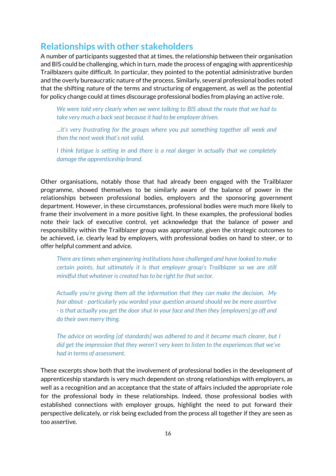#### <span id="page-21-0"></span>**Relationships with other stakeholders**

A number of participants suggested that at times, the relationship between their organisation and BIS could be challenging, which in turn, made the process of engaging with apprenticeship Trailblazers quite difficult. In particular, they pointed to the potential administrative burden and the overly bureaucratic nature of the process. Similarly, several professional bodies noted that the shifting nature of the terms and structuring of engagement, as well as the potential for policy change could at times discourage professional bodies from playing an active role.

*We were told very clearly when we were talking to BIS about the route that we had to take very much a back seat because it had to be employer driven.* 

*...it's very frustrating for the groups where you put something together all week and then the next week that's not valid.*

*I think fatigue is setting in and there is a real danger in actually that we completely damage the apprenticeship brand.*

Other organisations, notably those that had already been engaged with the Trailblazer programme, showed themselves to be similarly aware of the balance of power in the relationships between professional bodies, employers and the sponsoring government department. However, in these circumstances, professional bodies were much more likely to frame their involvement in a more positive light. In these examples, the professional bodies note their lack of executive control, yet acknowledge that the balance of power and responsibility within the Trailblazer group was appropriate, given the strategic outcomes to be achieved, i.e. clearly lead by employers, with professional bodies on hand to steer, or to offer helpful comment and advice.

*There are times when engineering institutions have challenged and have looked to make certain points, but ultimately it is that employer group's Trailblazer so we are still mindful that whatever is created has to be right for that sector.*

*Actually you're giving them all the information that they can make the decision. My fear about - particularly you worded your question around should we be more assertive - is that actually you get the door shut in your face and then they [employers] go off and do their own merry thing.*

*The advice on wording [of standards] was adhered to and it became much clearer, but I did get the impression that they weren't very keen to listen to the experiences that we've had in terms of assessment.*

These excerpts show both that the involvement of professional bodies in the development of apprenticeship standards is very much dependent on strong relationships with employers, as well as a recognition and an acceptance that the state of affairs included the appropriate role for the professional body in these relationships. Indeed, those professional bodies with established connections with employer groups, highlight the need to put forward their perspective delicately, or risk being excluded from the process all together if they are seen as too assertive.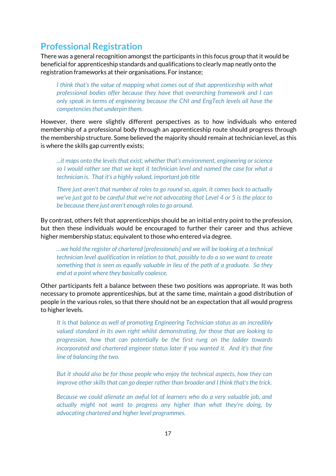#### <span id="page-22-0"></span>**Professional Registration**

There was a general recognition amongst the participants in this focus group that it would be beneficial for apprenticeship standards and qualifications to clearly map neatly onto the registration frameworks at their organisations. For instance;

*I think that's the value of mapping what comes out of that apprenticeship with what professional bodies offer because they have that overarching framework and I can only speak in terms of engineering because the CNI and EngTech levels all have the competencies that underpin them.*

However, there were slightly different perspectives as to how individuals who entered membership of a professional body through an apprenticeship route should progress through the membership structure. Some believed the majority should remain at technician level, as this is where the skills gap currently exists;

*...it maps onto the levels that exist, whether that's environment, engineering or science so I would rather see that we kept it technician level and named the case for what a technician is. That it's a highly valued, important job title*

*There just aren't that number of roles to go round so, again, it comes back to actually we've just got to be careful that we're not advocating that Level 4 or 5 is the place to be because there just aren't enough roles to go around.*

By contrast, others felt that apprenticeships should be an initial entry point to the profession, but then these individuals would be encouraged to further their career and thus achieve higher membership status; equivalent to those who entered via degree.

*…we hold the register of chartered [professionals] and we will be looking at a technical technician level qualification in relation to that, possibly to do a so we want to create something that is seen as equally valuable in lieu of the path of a graduate. So they end at a point where they basically coalesce.*

Other participants felt a balance between these two positions was appropriate. It was both necessary to promote apprenticeships, but at the same time, maintain a good distribution of people in the various roles, so that there should not be an expectation that all would progress to higher levels.

*It is that balance as well of promoting Engineering Technician status as an incredibly valued standard in its own right whilst demonstrating, for those that are looking to progression, how that can potentially be the first rung on the ladder towards incorporated and chartered engineer status later if you wanted it. And it's that fine line of balancing the two.*

*But it should also be for those people who enjoy the technical aspects, how they can improve other skills that can go deeper rather than broader and I think that's the trick.*

*Because we could alienate an awful lot of learners who do a very valuable job, and actually might not want to progress any higher than what they're doing, by advocating chartered and higher level programmes.*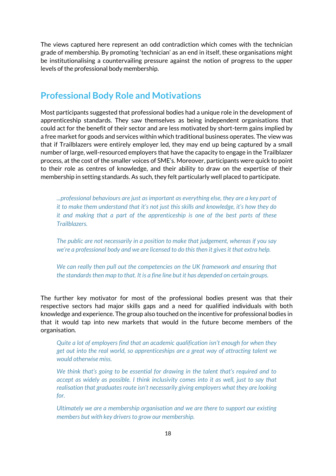The views captured here represent an odd contradiction which comes with the technician grade of membership. By promoting 'technician' as an end in itself, these organisations might be institutionalising a countervailing pressure against the notion of progress to the upper levels of the professional body membership.

#### <span id="page-23-0"></span>**Professional Body Role and Motivations**

Most participants suggested that professional bodies had a unique role in the development of apprenticeship standards. They saw themselves as being independent organisations that could act for the benefit of their sector and are less motivated by short-term gains implied by a free market for goods and services within which traditional business operates. The view was that if Trailblazers were entirely employer led, they may end up being captured by a small number of large, well-resourced employers that have the capacity to engage in the Trailblazer process, at the cost of the smaller voices of SME's. Moreover, participants were quick to point to their role as centres of knowledge, and their ability to draw on the expertise of their membership in setting standards. As such, they felt particularly well placed to participate.

*...professional behaviours are just as important as everything else, they are a key part of it to make them understand that it's not just this skills and knowledge, it's how they do it and making that a part of the apprenticeship is one of the best parts of these Trailblazers.*

*The public are not necessarily in a position to make that judgement, whereas if you say we're a professional body and we are licensed to do this then it gives it that extra help.*

*We can really then pull out the competencies on the UK framework and ensuring that the standards then map to that. It is a fine line but it has depended on certain groups.*

The further key motivator for most of the professional bodies present was that their respective sectors had major skills gaps and a need for qualified individuals with both knowledge and experience. The group also touched on the incentive for professional bodies in that it would tap into new markets that would in the future become members of the organisation.

*Quite a lot of employers find that an academic qualification isn't enough for when they get out into the real world, so apprenticeships are a great way of attracting talent we would otherwise miss.*

*We think that's going to be essential for drawing in the talent that's required and to accept as widely as possible. I think inclusivity comes into it as well, just to say that realisation that graduates route isn't necessarily giving employers what they are looking for.*

*Ultimately we are a membership organisation and we are there to support our existing members but with key drivers to grow our membership.*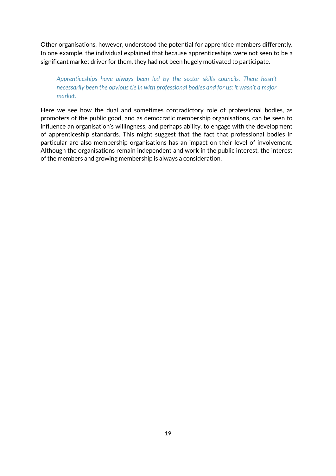Other organisations, however, understood the potential for apprentice members differently. In one example, the individual explained that because apprenticeships were not seen to be a significant market driver for them, they had not been hugely motivated to participate.

#### *Apprenticeships have always been led by the sector skills councils. There hasn't necessarily been the obvious tie in with professional bodies and for us; it wasn't a major market.*

Here we see how the dual and sometimes contradictory role of professional bodies, as promoters of the public good, and as democratic membership organisations, can be seen to influence an organisation's willingness, and perhaps ability, to engage with the development of apprenticeship standards. This might suggest that the fact that professional bodies in particular are also membership organisations has an impact on their level of involvement. Although the organisations remain independent and work in the public interest, the interest of the members and growing membership is always a consideration.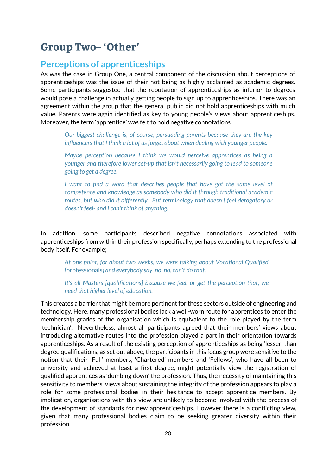# <span id="page-25-0"></span>**Group Two-'Other'**

#### <span id="page-25-1"></span>**Perceptions of apprenticeships**

As was the case in Group One, a central component of the discussion about perceptions of apprenticeships was the issue of their not being as highly acclaimed as academic degrees. Some participants suggested that the reputation of apprenticeships as inferior to degrees would pose a challenge in actually getting people to sign up to apprenticeships. There was an agreement within the group that the general public did not hold apprenticeships with much value. Parents were again identified as key to young people's views about apprenticeships. Moreover, the term 'apprentice' was felt to hold negative connotations.

*Our biggest challenge is, of course, persuading parents because they are the key influencers that I think a lot of us forget about when dealing with younger people.* 

*Maybe perception because I think we would perceive apprentices as being a younger and therefore lower set-up that isn't necessarily going to lead to someone going to get a degree.* 

*I* want to find a word that describes people that have got the same level of *competence and knowledge as somebody who did it through traditional academic routes, but who did it differently. But terminology that doesn't feel derogatory or doesn't feel- and I can't think of anything.* 

In addition, some participants described negative connotations associated with apprenticeships from within their profession specifically, perhaps extending to the professional body itself. For example;

*At one point, for about two weeks, we were talking about Vocational Qualified [*professionals*} and everybody say, no, no, can't do that.* 

*It's all Masters [qualifications] because we feel, or get the perception that, we need that higher level of education.*

This creates a barrier that might be more pertinent for these sectors outside of engineering and technology. Here, many professional bodies lack a well-worn route for apprentices to enter the membership grades of the organisation which is equivalent to the role played by the term 'technician'. Nevertheless, almost all participants agreed that their members' views about introducing alternative routes into the profession played a part in their orientation towards apprenticeships. As a result of the existing perception of apprenticeships as being 'lesser' than degree qualifications, as set out above, the participants in this focus group were sensitive to the notion that their 'Full' members, 'Chartered' members and 'Fellows', who have all been to university and achieved at least a first degree, might potentially view the registration of qualified apprentices as 'dumbing down' the profession. Thus, the necessity of maintaining this sensitivity to members' views about sustaining the integrity of the profession appears to play a role for some professional bodies in their hesitance to accept apprentice members. By implication, organisations with this view are unlikely to become involved with the process of the development of standards for new apprenticeships. However there is a conflicting view, given that many professional bodies claim to be seeking greater diversity within their profession.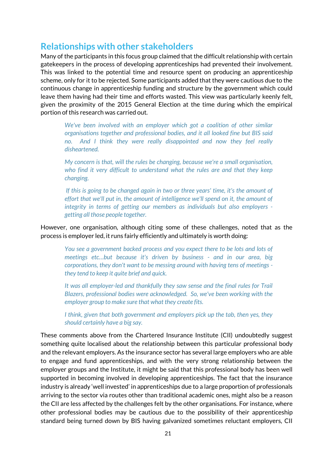#### <span id="page-26-0"></span>**Relationships with other stakeholders**

Many of the participants in this focus group claimed that the difficult relationship with certain gatekeepers in the process of developing apprenticeships had prevented their involvement. This was linked to the potential time and resource spent on producing an apprenticeship scheme, only for it to be rejected. Some participants added that they were cautious due to the continuous change in apprenticeship funding and structure by the government which could leave them having had their time and efforts wasted. This view was particularly keenly felt, given the proximity of the 2015 General Election at the time during which the empirical portion of this research was carried out.

*We've been involved with an employer which got a coalition of other similar organisations together and professional bodies, and it all looked fine but BIS said no. And I think they were really disappointed and now they feel really disheartened.*

*My concern is that, will the rules be changing, because we're a small organisation, who find it very difficult to understand what the rules are and that they keep changing.*

*If this is going to be changed again in two or three years' time, it's the amount of effort that we'll put in, the amount of intelligence we'll spend on it, the amount of integrity in terms of getting our members as individuals but also employers getting all those people together.* 

#### However, one organisation, although citing some of these challenges, noted that as the process is employer led, it runs fairly efficiently and ultimately is worth doing:

*You see a government backed process and you expect there to be lots and lots of meetings etc…but because it's driven by business - and in our area, big corporations, they don't want to be messing around with having tens of meetings they tend to keep it quite brief and quick.* 

*It was all employer-led and thankfully they saw sense and the final rules for Trail Blazers, professional bodies were acknowledged. So, we've been working with the employer group to make sure that what they create fits.* 

*I think, given that both government and employers pick up the tab, then yes, they should certainly have a big say.*

These comments above from the Chartered Insurance Institute (CII) undoubtedly suggest something quite localised about the relationship between this particular professional body and the relevant employers. As the insurance sector has several large employers who are able to engage and fund apprenticeships, and with the very strong relationship between the employer groups and the Institute, it might be said that this professional body has been well supported in becoming involved in developing apprenticeships. The fact that the insurance industry is already 'well invested' in apprenticeships due to a large proportion of professionals arriving to the sector via routes other than traditional academic ones, might also be a reason the CII are less affected by the challenges felt by the other organisations. For instance, where other professional bodies may be cautious due to the possibility of their apprenticeship standard being turned down by BIS having galvanized sometimes reluctant employers, CII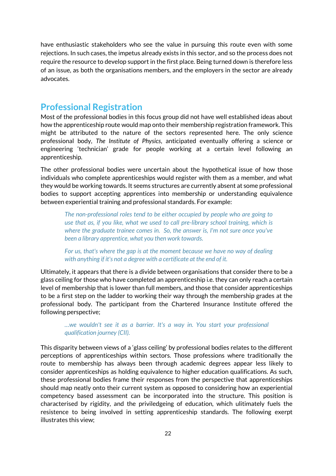have enthusiastic stakeholders who see the value in pursuing this route even with some rejections. In such cases, the impetus already exists in this sector, and so the process does not require the resource to develop support in the first place. Being turned down is therefore less of an issue, as both the organisations members, and the employers in the sector are already advocates.

#### <span id="page-27-0"></span>**Professional Registration**

Most of the professional bodies in this focus group did not have well established ideas about how the apprenticeship route would map onto their membership registration framework. This might be attributed to the nature of the sectors represented here. The only science professional body, *The Institute of Physics*, anticipated eventually offering a science or engineering 'technician' grade for people working at a certain level following an apprenticeship.

The other professional bodies were uncertain about the hypothetical issue of how those individuals who complete apprenticeships would register with them as a member, and what they would be working towards. It seems structures are currently absent at some professional bodies to support accepting apprentices into membership or understanding equivalence between experiential training and professional standards. For example:

*The non-professional roles tend to be either occupied by people who are going to use that as, if you like, what we used to call pre-library school training, which is where the graduate trainee comes in. So, the answer is, I'm not sure once you've been a library apprentice, what you then work towards.* 

*For us, that's where the gap is at the moment because we have no way of dealing with anything if it's not a degree with a certificate at the end of it.*

Ultimately, it appears that there is a divide between organisations that consider there to be a glass ceiling for those who have completed an apprenticeship i.e. they can only reach a certain level of membership that is lower than full members, and those that consider apprenticeships to be a first step on the ladder to working their way through the membership grades at the professional body. The participant from the Chartered Insurance Institute offered the following perspective;

*…we wouldn't see it as a barrier. It's a way in. You start your professional qualification journey (CII).*

This disparity between views of a 'glass ceiling' by professional bodies relates to the different perceptions of apprenticeships within sectors. Those professions where traditionally the route to membership has always been through academic degrees appear less likely to consider apprenticeships as holding equivalence to higher education qualifications. As such, these professional bodies frame their responses from the perspective that apprenticeships should map neatly onto their current system as opposed to considering how an experiential competency based assessment can be incorporated into the structure. This position is characterised by rigidity, and the priviledgeing of education, which ulitimately fuels the resistence to being involved in setting apprenticeship standards. The following exerpt illustrates this view;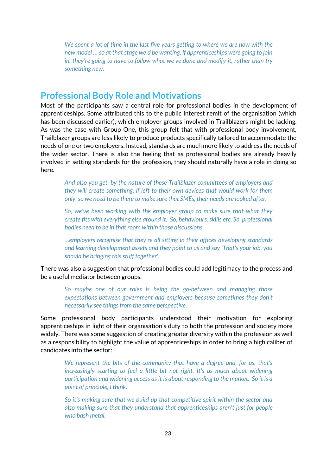*We spent a lot of time in the last five years getting to where we are now with the new model … so at that stage we'd be wanting, if apprenticeships were going to join in, they're going to have to follow what we've done and modify it, rather than try something new.*

#### <span id="page-28-0"></span>**Professional Body Role and Motivations**

Most of the participants saw a central role for professional bodies in the development of apprenticeships. Some attributed this to the public interest remit of the organisation (which has been discussed earlier), which employer groups involved in Trailblazers might be lacking. As was the case with Group One, this group felt that with professional body involvement, Trailblazer groups are less likely to produce products specifically tailored to accommodate the needs of one or two employers. Instead, standards are much more likely to address the needs of the wider sector. There is also the feeling that as professional bodies are already heavily involved in setting standards for the profession, they should naturally have a role in doing so here.

*And also you get, by the nature of these Trailblazer committees of employers and they will create something, if left to their own devices that would work for them only, so we need to be there to make sure that SMEs, their needs are looked after.*

*So, we've been working with the employer group to make sure that what they create fits with everything else around it. So, behaviours, skills etc. So, professional bodies need to be in that room within those discussions.*

*…employers recognise that they're all sitting in their offices developing standards and learning development assets and they point to us and say 'That's your job, you should be bringing this stuff together'.*

There was also a suggestion that professional bodies could add legitimacy to the process and be a useful mediator between groups.

*So maybe one of our roles is being the go-between and managing those expectations between government and employers because sometimes they don't necessarily see things from the same perspective.* 

Some professional body participants understood their motivation for exploring apprenticeships in light of their organisation's duty to both the profession and society more widely. There was some suggestion of creating greater diversity within the profession as well as a responsibility to highlight the value of apprenticeships in order to bring a high caliber of candidates into the sector:

*We represent the bits of the community that have a degree and, for us, that's increasingly starting to feel a little bit not right. It's as much about widening participation and widening access as it is about responding to the market. So it is a point of principle, I think.* 

*So it's making sure that we build up that competitive spirit within the sector and also making sure that they understand that apprenticeships aren't just for people who bash metal.*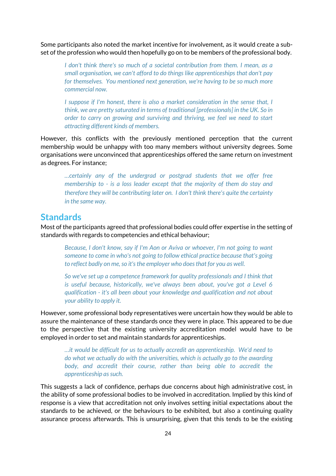Some participants also noted the market incentive for involvement, as it would create a subset of the profession who would then hopefully go on to be members of the professional body.

*I don't think there's so much of a societal contribution from them. I mean, as a small organisation, we can't afford to do things like apprenticeships that don't pay for themselves. You mentioned next generation, we're having to be so much more commercial now.*

*I* suppose if I'm honest, there is also a market consideration in the sense that, I *think, we are pretty saturated in terms of traditional [professionals] in the UK. So in order to carry on growing and surviving and thriving, we feel we need to start attracting different kinds of members.* 

However, this conflicts with the previously mentioned perception that the current membership would be unhappy with too many members without university degrees. Some organisations were unconvinced that apprenticeships offered the same return on investment as degrees. For instance;

*…certainly any of the undergrad or postgrad students that we offer free membership to - is a loss leader except that the majority of them do stay and therefore they will be contributing later on. I don't think there's quite the certainty in the same way.*

#### <span id="page-29-0"></span>**Standards**

Most of the participants agreed that professional bodies could offer expertise in the setting of standards with regards to competencies and ethical behaviour;

*Because, I don't know, say if I'm Aon or Aviva or whoever, I'm not going to want someone to come in who's not going to follow ethical practice because that's going to reflect badly on me, so it's the employer who does that for you as well.*

*So we've set up a competence framework for quality professionals and I think that is useful because, historically, we've always been about, you've got a Level 6 qualification - it's all been about your knowledge and qualification and not about your ability to apply it.*

However, some professional body representatives were uncertain how they would be able to assure the maintenance of these standards once they were in place. This appeared to be due to the perspective that the existing university accreditation model would have to be employed in order to set and maintain standards for apprenticeships.

*…it would be difficult for us to actually accredit an apprenticeship. We'd need to do what we actually do with the universities, which is actually go to the awarding body, and accredit their course, rather than being able to accredit the apprenticeship as such.*

This suggests a lack of confidence, perhaps due concerns about high administrative cost, in the ability of some professional bodies to be involved in accreditation. Implied by this kind of response is a view that accreditation not only involves setting initial expectations about the standards to be achieved, or the behaviours to be exhibited, but also a continuing quality assurance process afterwards. This is unsurprising, given that this tends to be the existing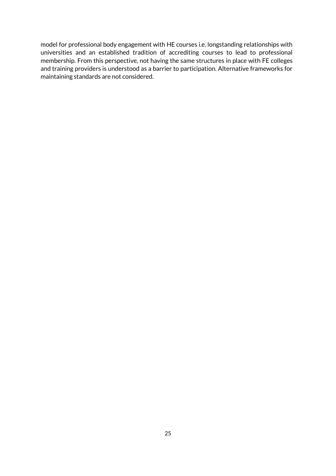model for professional body engagement with HE courses i.e. longstanding relationships with universities and an established tradition of accrediting courses to lead to professional membership. From this perspective, not having the same structures in place with FE colleges and training providers is understood as a barrier to participation. Alternative frameworks for maintaining standards are not considered.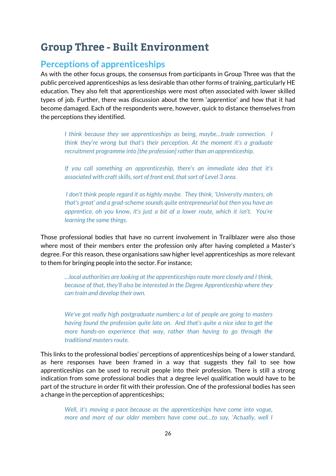### <span id="page-31-0"></span>**Group Three - Built Environment**

#### <span id="page-31-1"></span>**Perceptions of apprenticeships**

As with the other focus groups, the consensus from participants in Group Three was that the public perceived apprenticeships as less desirable than other forms of training, particularly HE education. They also felt that apprenticeships were most often associated with lower skilled types of job. Further, there was discussion about the term 'apprentice' and how that it had become damaged. Each of the respondents were, however, quick to distance themselves from the perceptions they identified.

*I think because they see apprenticeships as being, maybe…trade connection. I think they're wrong but that's their perception. At the moment it's a graduate recruitment programme into [the profession] rather than an apprenticeship.*

*If you call something an apprenticeship, there's an immediate idea that it's associated with craft skills, sort of front end, that sort of Level 3 area.*

*I don't think people regard it as highly maybe. They think, 'University masters, oh that's great' and a grad-scheme sounds quite entrepreneurial but then you have an apprentice, oh you know, it's just a bit of a lower route, which it isn't. You're learning the same things.*

Those professional bodies that have no current involvement in Trailblazer were also those where most of their members enter the profession only after having completed a Master's degree. For this reason, these organisations saw higher level apprenticeships as more relevant to them for bringing people into the sector. For instance;

*…local authorities are looking at the apprenticeships route more closely and I think, because of that, they'll also be interested in the Degree Apprenticeship where they can train and develop their own.*

*We've got really high postgraduate numbers; a lot of people are going to masters having found the profession quite late on. And that's quite a nice idea to get the more hands-on experience that way, rather than having to go through the traditional masters route.*

This links to the professional bodies' perceptions of apprenticeships being of a lower standard, as here responses have been framed in a way that suggests they fail to see how apprenticeships can be used to recruit people into their profession. There is still a strong indication from some professional bodies that a degree level qualification would have to be part of the structure in order fit with their profession. One of the professional bodies has seen a change in the perception of apprenticeships;

*Well, it's moving a pace because as the apprenticeships have come into vogue, more and more of our older members have come out…to say, 'Actually, well I*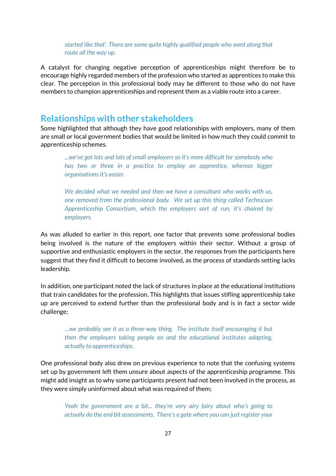*started like that'. There are some quite highly qualified people who went along that route all the way up.*

A catalyst for changing negative perception of apprenticeships might therefore be to encourage highly regarded members of the profession who started as apprentices to make this clear. The perception in this professional body may be different to those who do not have members to champion apprenticeships and represent them as a viable route into a career.

#### <span id="page-32-0"></span>**Relationships with other stakeholders**

Some highlighted that although they have good relationships with employers, many of them are small or local government bodies that would be limited in how much they could commit to apprenticeship schemes.

*...we've got lots and lots of small employers so it's more difficult for somebody who has two or three in a practice to employ an apprentice, whereas bigger organisations it's easier.*

*We decided what we needed and then we have a consultant who works with us, one removed from the professional body. We set up this thing called Technician Apprenticeship Consortium, which the employers sort of run, it's chaired by employers.*

As was alluded to earlier in this report, one factor that prevents some professional bodies being involved is the nature of the employers within their sector. Without a group of supportive and enthusiastic employers in the sector, the responses from the participants here suggest that they find it difficult to become involved, as the process of standards setting lacks leadership.

In addition, one participant noted the lack of structures in place at the educational institutions that train candidates for the profession. This highlights that issues stifling apprenticeship take up are perceived to extend further than the professional body and is in fact a sector wide challenge;

*…we probably see it as a three-way thing. The institute itself encouraging it but then the employers taking people on and the educational institutes adapting, actually to apprenticeships.*

One professional body also drew on previous experience to note that the confusing systems set up by government left them unsure about aspects of the apprenticeship programme. This might add insight as to why some participants present had not been involved in the process, as they were simply uninformed about what was required of them;

*Yeah the government are a bit... they're very airy fairy about who's going to actually do the end bit assessments. There's a gate where you can just register your*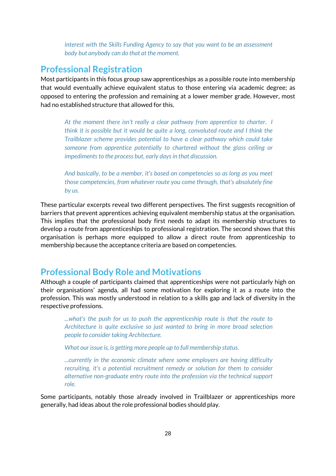*interest with the Skills Funding Agency to say that you want to be an assessment body but anybody can do that at the moment.* 

#### <span id="page-33-0"></span>**Professional Registration**

Most participants in this focus group saw apprenticeships as a possible route into membership that would eventually achieve equivalent status to those entering via academic degree; as opposed to entering the profession and remaining at a lower member grade. However, most had no established structure that allowed for this.

*At the moment there isn't really a clear pathway from apprentice to charter. I think it is possible but it would be quite a long, convoluted route and I think the Trailblazer scheme provides potential to have a clear pathway which could take someone from apprentice potentially to chartered without the glass ceiling or impediments to the process but, early days in that discussion.*

*And basically, to be a member, it's based on competencies so as long as you meet those competencies, from whatever route you come through, that's absolutely fine by us.*

These particular excerpts reveal two different perspectives. The first suggests recognition of barriers that prevent apprentices achieving equivalent membership status at the organisation. This implies that the professional body first needs to adapt its membership structures to develop a route from apprenticeships to professional registration. The second shows that this organisation is perhaps more equipped to allow a direct route from apprenticeship to membership because the acceptance criteria are based on competencies.

#### <span id="page-33-1"></span>**Professional Body Role and Motivations**

Although a couple of participants claimed that apprenticeships were not particularly high on their organisations' agenda, all had some motivation for exploring it as a route into the profession. This was mostly understood in relation to a skills gap and lack of diversity in the respective professions.

*...what's the push for us to push the apprenticeship route is that the route to Architecture is quite exclusive so just wanted to bring in more broad selection people to consider taking Architecture.*

*What our issue is, is getting more people up to full membership status.* 

*...currently in the economic climate where some employers are having difficulty recruiting, it's a potential recruitment remedy or solution for them to consider alternative non-graduate entry route into the profession via the technical support role.* 

Some participants, notably those already involved in Trailblazer or apprenticeships more generally, had ideas about the role professional bodies should play.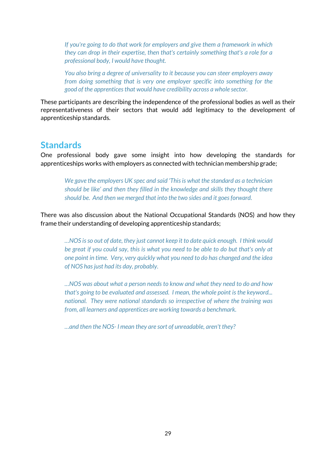*If you're going to do that work for employers and give them a framework in which they can drop in their expertise, then that's certainly something that's a role for a professional body, I would have thought.*

*You also bring a degree of universality to it because you can steer employers away from doing something that is very one employer specific into something for the good of the apprentices that would have credibility across a whole sector.* 

These participants are describing the independence of the professional bodies as well as their representativeness of their sectors that would add legitimacy to the development of apprenticeship standards.

#### <span id="page-34-0"></span>**Standards**

One professional body gave some insight into how developing the standards for apprenticeships works with employers as connected with technician membership grade;

*We gave the employers UK spec and said 'This is what the standard as a technician should be like' and then they filled in the knowledge and skills they thought there should be. And then we merged that into the two sides and it goes forward.* 

There was also discussion about the National Occupational Standards (NOS) and how they frame their understanding of developing apprenticeship standards;

*…NOS is so out of date, they just cannot keep it to date quick enough. I think would be great if you could say, this is what you need to be able to do but that's only at one point in time. Very, very quickly what you need to do has changed and the idea of NOS has just had its day, probably.*

*…NOS was about what a person needs to know and what they need to do and how that's going to be evaluated and assessed. I mean, the whole point is the keyword... national. They were national standards so irrespective of where the training was from, all learners and apprentices are working towards a benchmark.* 

*…and then the NOS- I mean they are sort of unreadable, aren't they?*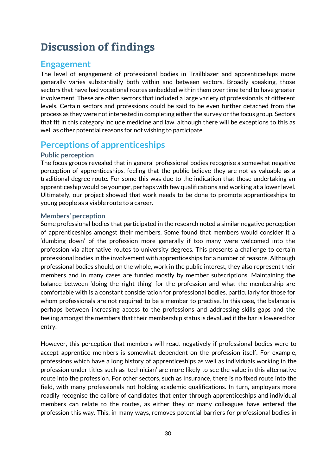# <span id="page-35-0"></span>**Discussion of findings**

### <span id="page-35-1"></span>**Engagement**

The level of engagement of professional bodies in Trailblazer and apprenticeships more generally varies substantially both within and between sectors. Broadly speaking, those sectors that have had vocational routes embedded within them over time tend to have greater involvement. These are often sectors that included a large variety of professionals at different levels. Certain sectors and professions could be said to be even further detached from the process as they were not interested in completing either the survey or the focus group. Sectors that fit in this category include medicine and law, although there will be exceptions to this as well as other potential reasons for not wishing to participate.

### <span id="page-35-2"></span>**Perceptions of apprenticeships**

#### **Public perception**

The focus groups revealed that in general professional bodies recognise a somewhat negative perception of apprenticeships, feeling that the public believe they are not as valuable as a traditional degree route. For some this was due to the indication that those undertaking an apprenticeship would be younger, perhaps with few qualifications and working at a lower level. Ultimately, our project showed that work needs to be done to promote apprenticeships to young people as a viable route to a career.

#### **Members' perception**

Some professional bodies that participated in the research noted a similar negative perception of apprenticeships amongst their members. Some found that members would consider it a 'dumbing down' of the profession more generally if too many were welcomed into the profession via alternative routes to university degrees. This presents a challenge to certain professional bodies in the involvement with apprenticeships for a number of reasons. Although professional bodies should, on the whole, work in the public interest, they also represent their members and in many cases are funded mostly by member subscriptions. Maintaining the balance between 'doing the right thing' for the profession and what the membership are comfortable with is a constant consideration for professional bodies, particularly for those for whom professionals are not required to be a member to practise. In this case, the balance is perhaps between increasing access to the professions and addressing skills gaps and the feeling amongst the members that their membership status is devalued if the bar is lowered for entry.

However, this perception that members will react negatively if professional bodies were to accept apprentice members is somewhat dependent on the profession itself. For example, professions which have a long history of apprenticeships as well as individuals working in the profession under titles such as 'technician' are more likely to see the value in this alternative route into the profession. For other sectors, such as Insurance, there is no fixed route into the field, with many professionals not holding academic qualifications. In turn, employers more readily recognise the calibre of candidates that enter through apprenticeships and individual members can relate to the routes, as either they or many colleagues have entered the profession this way. This, in many ways, removes potential barriers for professional bodies in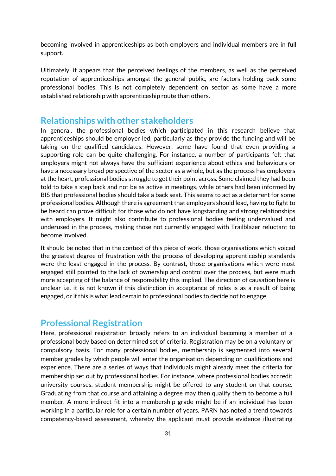becoming involved in apprenticeships as both employers and individual members are in full support.

Ultimately, it appears that the perceived feelings of the members, as well as the perceived reputation of apprenticeships amongst the general public, are factors holding back some professional bodies. This is not completely dependent on sector as some have a more established relationship with apprenticeship route than others.

#### <span id="page-36-0"></span>**Relationships with other stakeholders**

In general, the professional bodies which participated in this research believe that apprenticeships should be employer led, particularly as they provide the funding and will be taking on the qualified candidates. However, some have found that even providing a supporting role can be quite challenging. For instance, a number of participants felt that employers might not always have the sufficient experience about ethics and behaviours or have a necessary broad perspective of the sector as a whole, but as the process has employers at the heart, professional bodies struggle to get their point across. Some claimed they had been told to take a step back and not be as active in meetings, while others had been informed by BIS that professional bodies should take a back seat. This seems to act as a deterrent for some professional bodies. Although there is agreement that employers should lead, having to fight to be heard can prove difficult for those who do not have longstanding and strong relationships with employers. It might also contribute to professional bodies feeling undervalued and underused in the process, making those not currently engaged with Trailblazer reluctant to become involved.

It should be noted that in the context of this piece of work, those organisations which voiced the greatest degree of frustration with the process of developing apprenticeship standards were the least engaged in the process. By contrast, those organisations which were most engaged still pointed to the lack of ownership and control over the process, but were much more accepting of the balance of responsibility this implied. The direction of causation here is unclear i.e. it is not known if this distinction in acceptance of roles is as a result of being engaged, or if this is what lead certain to professional bodies to decide not to engage.

#### <span id="page-36-1"></span>**Professional Registration**

Here, professional registration broadly refers to an individual becoming a member of a professional body based on determined set of criteria. Registration may be on a voluntary or compulsory basis. For many professional bodies, membership is segmented into several member grades by which people will enter the organisation depending on qualifications and experience. There are a series of ways that individuals might already meet the criteria for membership set out by professional bodies. For instance, where professional bodies accredit university courses, student membership might be offered to any student on that course. Graduating from that course and attaining a degree may then qualify them to become a full member. A more indirect fit into a membership grade might be if an individual has been working in a particular role for a certain number of years. PARN has noted a trend towards competency-based assessment, whereby the applicant must provide evidence illustrating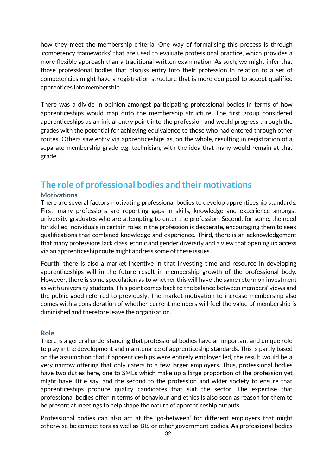how they meet the membership criteria. One way of formalising this process is through 'competency frameworks' that are used to evaluate professional practice, which provides a more flexible approach than a traditional written examination. As such, we might infer that those professional bodies that discuss entry into their profession in relation to a set of competencies might have a registration structure that is more equipped to accept qualified apprentices into membership.

There was a divide in opinion amongst participating professional bodies in terms of how apprenticeships would map onto the membership structure. The first group considered apprenticeships as an initial entry point into the profession and would progress through the grades with the potential for achieving equivalence to those who had entered through other routes. Others saw entry via apprenticeships as, on the whole, resulting in registration of a separate membership grade e.g. technician, with the idea that many would remain at that grade.

#### <span id="page-37-0"></span>**The role of professional bodies and their motivations**

#### **Motivations**

There are several factors motivating professional bodies to develop apprenticeship standards. First, many professions are reporting gaps in skills, knowledge and experience amongst university graduates who are attempting to enter the profession. Second, for some, the need for skilled individuals in certain roles in the profession is desperate, encouraging them to seek qualifications that combined knowledge and experience. Third, there is an acknowledgement that many professions lack class, ethnic and gender diversity and a view that opening up access via an apprenticeship route might address some of these issues.

Fourth, there is also a market incentive in that investing time and resource in developing apprenticeships will in the future result in membership growth of the professional body. However, there is some speculation as to whether this will have the same return on investment as with university students. This point comes back to the balance between members' views and the public good referred to previously. The market motivation to increase membership also comes with a consideration of whether current members will feel the value of membership is diminished and therefore leave the organisation.

#### **Role**

There is a general understanding that professional bodies have an important and unique role to play in the development and maintenance of apprenticeship standards. This is partly based on the assumption that if apprenticeships were entirely employer led, the result would be a very narrow offering that only caters to a few larger employers. Thus, professional bodies have two duties here, one to SMEs which make up a large proportion of the profession yet might have little say, and the second to the profession and wider society to ensure that apprenticeships produce quality candidates that suit the sector. The expertise that professional bodies offer in terms of behaviour and ethics is also seen as reason for them to be present at meetings to help shape the nature of apprenticeship outputs.

Professional bodies can also act at the 'go-between' for different employers that might otherwise be competitors as well as BIS or other government bodies. As professional bodies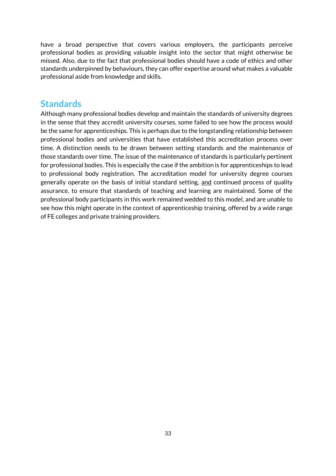have a broad perspective that covers various employers, the participants perceive professional bodies as providing valuable insight into the sector that might otherwise be missed. Also, due to the fact that professional bodies should have a code of ethics and other standards underpinned by behaviours, they can offer expertise around what makes a valuable professional aside from knowledge and skills.

#### <span id="page-38-0"></span>**Standards**

Although many professional bodies develop and maintain the standards of university degrees in the sense that they accredit university courses, some failed to see how the process would be the same for apprenticeships. This is perhaps due to the longstanding relationship between professional bodies and universities that have established this accreditation process over time. A distinction needs to be drawn between setting standards and the maintenance of those standards over time. The issue of the maintenance of standards is particularly pertinent for professional bodies. This is especially the case if the ambition is for apprenticeships to lead to professional body registration. The accreditation model for university degree courses generally operate on the basis of initial standard setting, and continued process of quality assurance, to ensure that standards of teaching and learning are maintained. Some of the professional body participants in this work remained wedded to this model, and are unable to see how this might operate in the context of apprenticeship training, offered by a wide range of FE colleges and private training providers.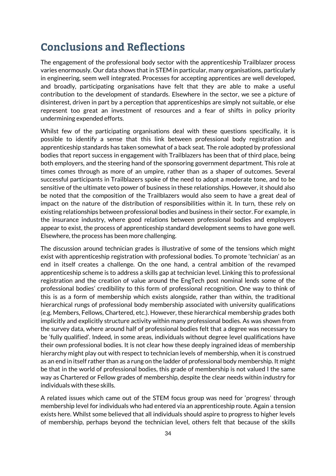### <span id="page-39-0"></span>**Conclusions and Reflections**

The engagement of the professional body sector with the apprenticeship Trailblazer process varies enormously. Our data shows that in STEM in particular, many organisations, particularly in engineering, seem well integrated. Processes for accepting apprentices are well developed, and broadly, participating organisations have felt that they are able to make a useful contribution to the development of standards. Elsewhere in the sector, we see a picture of disinterest, driven in part by a perception that apprenticeships are simply not suitable, or else represent too great an investment of resources and a fear of shifts in policy priority undermining expended efforts.

Whilst few of the participating organisations deal with these questions specifically, it is possible to identify a sense that this link between professional body registration and apprenticeship standards has taken somewhat of a back seat. The role adopted by professional bodies that report success in engagement with Trailblazers has been that of third place, being both employers, and the steering hand of the sponsoring government department. This role at times comes through as more of an umpire, rather than as a shaper of outcomes. Several successful participants in Trailblazers spoke of the need to adopt a moderate tone, and to be sensitive of the ultimate veto power of business in these relationships. However, it should also be noted that the composition of the Trailblazers would also seem to have a great deal of impact on the nature of the distribution of responsibilities within it. In turn, these rely on existing relationships between professional bodies and business in their sector. For example, in the insurance industry, where good relations between professional bodies and employers appear to exist, the process of apprenticeship standard development seems to have gone well. Elsewhere, the process has been more challenging.

The discussion around technician grades is illustrative of some of the tensions which might exist with apprenticeship registration with professional bodies. To promote 'technician' as an end in itself creates a challenge. On the one hand, a central ambition of the revamped apprenticeship scheme is to address a skills gap at technician level. Linking this to professional registration and the creation of value around the EngTech post nominal lends some of the professional bodies' credibility to this form of professional recognition. One way to think of this is as a form of membership which exists alongside, rather than within, the traditional hierarchical rungs of professional body membership associated with university qualifications (e.g. Members, Fellows, Chartered, etc.). However, these hierarchical membership grades both implicitly and explicitly structure activity within many professional bodies. As was shown from the survey data, where around half of professional bodies felt that a degree was necessary to be 'fully qualified'. Indeed, in some areas, individuals without degree level qualifications have their own professional bodies. It is not clear how these deeply ingrained ideas of membership hierarchy might play out with respect to technician levels of membership, when it is construed as an end in itself rather than as a rung on the ladder of professional body membership. It might be that in the world of professional bodies, this grade of membership is not valued I the same way as Chartered or Fellow grades of membership, despite the clear needs within industry for individuals with these skills.

A related issues which came out of the STEM focus group was need for 'progress' through membership level for individuals who had entered via an apprenticeship route. Again a tension exists here. Whilst some believed that all individuals should aspire to progress to higher levels of membership, perhaps beyond the technician level, others felt that because of the skills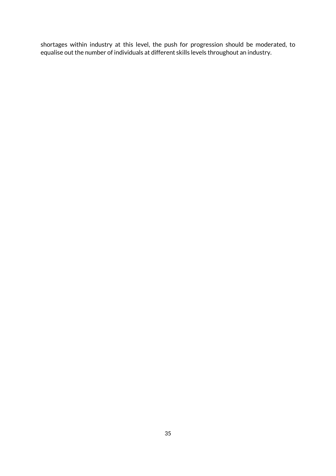shortages within industry at this level, the push for progression should be moderated, to equalise out the number of individuals at different skills levels throughout an industry.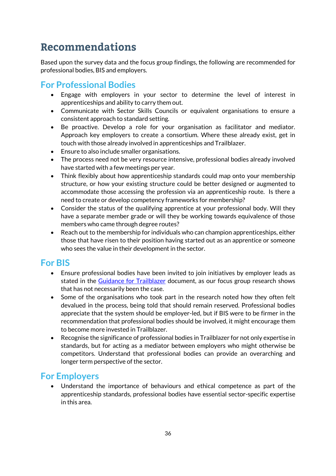# <span id="page-41-0"></span>Recommendations

Based upon the survey data and the focus group findings, the following are recommended for professional bodies, BIS and employers.

### <span id="page-41-1"></span>**For Professional Bodies**

- Engage with employers in your sector to determine the level of interest in apprenticeships and ability to carry them out.
- Communicate with Sector Skills Councils or equivalent organisations to ensure a consistent approach to standard setting.
- Be proactive. Develop a role for your organisation as facilitator and mediator. Approach key employers to create a consortium. Where these already exist, get in touch with those already involved in apprenticeships and Trailblazer.
- Ensure to also include smaller organisations.
- The process need not be very resource intensive, professional bodies already involved have started with a few meetings per year.
- Think flexibly about how apprenticeship standards could map onto your membership structure, or how your existing structure could be better designed or augmented to accommodate those accessing the profession via an apprenticeship route. Is there a need to create or develop competency frameworks for membership?
- Consider the status of the qualifying apprentice at your professional body. Will they have a separate member grade or will they be working towards equivalence of those members who came through degree routes?
- Reach out to the membership for individuals who can champion apprenticeships, either those that have risen to their position having started out as an apprentice or someone who sees the value in their development in the sector.

#### <span id="page-41-2"></span>**For BIS**

- Ensure professional bodies have been invited to join initiatives by employer leads as stated in the [Guidance for Trailblazer](https://www.gov.uk/government/uploads/system/uploads/attachment_data/file/447413/BIS-15-355-guidance-for-trailblazers-standards-to-starts-July-2015.pdf) document, as our focus group research shows that has not necessarily been the case.
- Some of the organisations who took part in the research noted how they often felt devalued in the process, being told that should remain reserved. Professional bodies appreciate that the system should be employer-led, but if BIS were to be firmer in the recommendation that professional bodies should be involved, it might encourage them to become more invested in Trailblazer.
- Recognise the significance of professional bodies in Trailblazer for not only expertise in standards, but for acting as a mediator between employers who might otherwise be competitors. Understand that professional bodies can provide an overarching and longer term perspective of the sector.

### <span id="page-41-3"></span>**For Employers**

 Understand the importance of behaviours and ethical competence as part of the apprenticeship standards, professional bodies have essential sector-specific expertise in this area.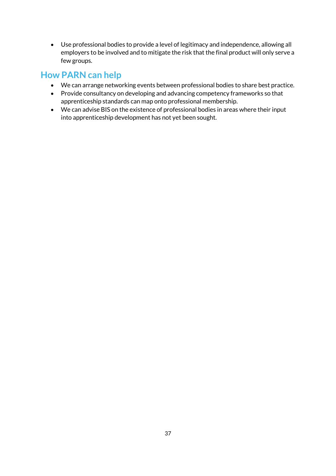Use professional bodies to provide a level of legitimacy and independence, allowing all employers to be involved and to mitigate the risk that the final product will only serve a few groups.

### <span id="page-42-0"></span>**How PARN can help**

- We can arrange networking events between professional bodies to share best practice.
- Provide consultancy on developing and advancing competency frameworks so that apprenticeship standards can map onto professional membership.
- We can advise BIS on the existence of professional bodies in areas where their input into apprenticeship development has not yet been sought.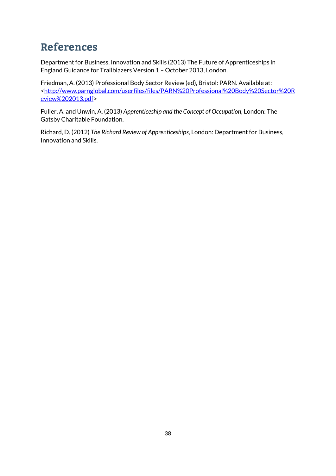# <span id="page-43-0"></span>**References**

Department for Business, Innovation and Skills (2013) The Future of Apprenticeships in England Guidance for Trailblazers Version 1 – October 2013, London.

Friedman, A. (2013) Professional Body Sector Review (ed), Bristol: PARN. Available at: [<http://www.parnglobal.com/userfiles/files/PARN%20Professional%20Body%20Sector%20R](http://www.parnglobal.com/userfiles/files/PARN%20Professional%20Body%20Sector%20Review%202013.pdf) [eview%202013.pdf>](http://www.parnglobal.com/userfiles/files/PARN%20Professional%20Body%20Sector%20Review%202013.pdf)

Fuller, A. and Unwin, A. (2013) *Apprenticeship and the Concept of Occupation*, London: The Gatsby Charitable Foundation.

Richard, D. (2012) *The Richard Review of Apprenticeships*, London: Department for Business, Innovation and Skills.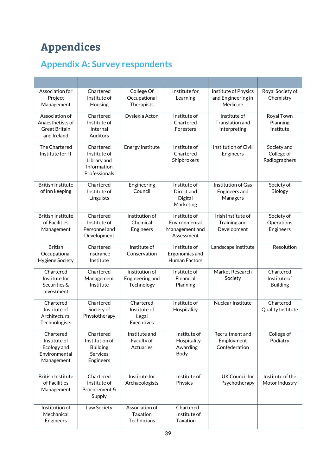# <span id="page-44-0"></span>**Appendices**

# <span id="page-44-1"></span>**Appendix A: Survey respondents**

| Association for<br>Project<br>Management                                  | Chartered<br>Institute of<br>Housing                                           | College Of<br>Occupational<br>Therapists                | Institute for<br>Learning                                     | Institute of Physics<br>and Engineering in<br>Medicine | Royal Society of<br>Chemistry                |
|---------------------------------------------------------------------------|--------------------------------------------------------------------------------|---------------------------------------------------------|---------------------------------------------------------------|--------------------------------------------------------|----------------------------------------------|
| Association of<br>Anaesthetists of<br><b>Great Britain</b><br>and Ireland | Chartered<br>Institute of<br>Internal<br>Auditors                              | Dyslexia Acton                                          | Institute of<br>Chartered<br>Foresters                        | Institute of<br>Translation and<br>Interpreting        | Royal Town<br>Planning<br>Institute          |
| The Chartered<br>Institute for IT                                         | Chartered<br>Institute of<br>Library and<br>Information<br>Professionals       | <b>Energy Institute</b>                                 | Institute of<br>Chartered<br>Shipbrokers                      | Institution of Civil<br>Engineers                      | Society and<br>College of<br>Radiographers   |
| <b>British Institute</b><br>of Inn keeping                                | Chartered<br>Institute of<br>Linguists                                         | Engineering<br>Council                                  | Institute of<br>Direct and<br>Digital<br>Marketing            | Institution of Gas<br>Engineers and<br>Managers        | Society of<br><b>Biology</b>                 |
| <b>British Institute</b><br>of Facilities<br>Management                   | Chartered<br>Institute of<br>Personnel and<br>Development                      | Institution of<br>Chemical<br>Engineers                 | Institute of<br>Environmental<br>Management and<br>Assessment | Irish Institute of<br>Training and<br>Development      | Society of<br>Operations<br>Engineers        |
| <b>British</b><br>Occupational<br>Hygiene Society                         | Chartered<br>Insurance<br>Institute                                            | Institute of<br>Conservation                            | Institute of<br>Ergonomics and<br><b>Human Factors</b>        | Landscape Institute                                    | Resolution                                   |
| Chartered<br>Institute for<br>Securities &<br>Investment                  | Chartered<br>Management<br>Institute                                           | Institution of<br>Engineering and<br>Technology         | Institute of<br>Financial<br>Planning                         | Market Research<br>Society                             | Chartered<br>Institute of<br><b>Building</b> |
| Chartered<br>Institute of<br>Architectural<br>Technologists               | Chartered<br>Society of<br>Physiotherapy                                       | Chartered<br>Institute of<br>Legal<br><b>Executives</b> | Institute of<br>Hospitality                                   | Nuclear Institute                                      | Chartered<br>Quality Institute               |
| Chartered<br>Institute of<br>Ecology and<br>Environmental<br>Management   | Chartered<br>Institution of<br><b>Building</b><br><b>Services</b><br>Engineers | Institute and<br>Faculty of<br>Actuaries                | Institute of<br>Hospitality<br>Awarding<br>Body               | Recruitment and<br>Employment<br>Confederation         | College of<br>Podiatry                       |
| <b>British Institute</b><br>of Facilities<br>Management                   | Chartered<br>Institute of<br>Procurement &<br>Supply                           | Institute for<br>Archaeologists                         | Institute of<br>Physics                                       | UK Council for<br>Psychotherapy                        | Institute of the<br>Motor Industry           |
| Institution of<br>Mechanical<br>Engineers                                 | Law Society                                                                    | Association of<br>Taxation<br>Technicians               | Chartered<br>Institute of<br>Taxation                         |                                                        |                                              |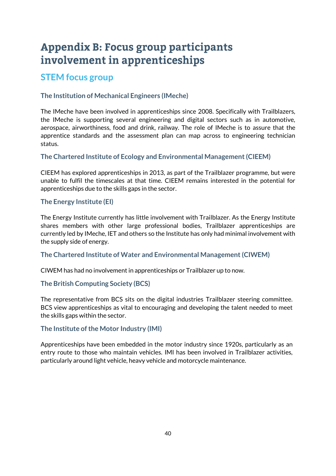# <span id="page-45-0"></span>**Appendix B: Focus group participants** involvement in apprenticeships

### <span id="page-45-1"></span>**STEM focus group**

#### **The Institution of Mechanical Engineers (IMeche)**

The IMeche have been involved in apprenticeships since 2008. Specifically with Trailblazers, the IMeche is supporting several engineering and digital sectors such as in automotive, aerospace, airworthiness, food and drink, railway. The role of IMeche is to assure that the apprentice standards and the assessment plan can map across to engineering technician status.

#### **The Chartered Institute of Ecology and Environmental Management (CIEEM)**

CIEEM has explored apprenticeships in 2013, as part of the Trailblazer programme, but were unable to fulfil the timescales at that time. CIEEM remains interested in the potential for apprenticeships due to the skills gaps in the sector.

#### **The Energy Institute (EI)**

The Energy Institute currently has little involvement with Trailblazer. As the Energy Institute shares members with other large professional bodies, Trailblazer apprenticeships are currently led by IMeche, IET and others so the Institute has only had minimal involvement with the supply side of energy.

#### **The Chartered Institute of Water and Environmental Management (CIWEM)**

CIWEM has had no involvement in apprenticeships or Trailblazer up to now.

#### **The British Computing Society (BCS)**

The representative from BCS sits on the digital industries Trailblazer steering committee. BCS view apprenticeships as vital to encouraging and developing the talent needed to meet the skills gaps within the sector.

#### **The Institute of the Motor Industry (IMI)**

Apprenticeships have been embedded in the motor industry since 1920s, particularly as an entry route to those who maintain vehicles. IMI has been involved in Trailblazer activities, particularly around light vehicle, heavy vehicle and motorcycle maintenance.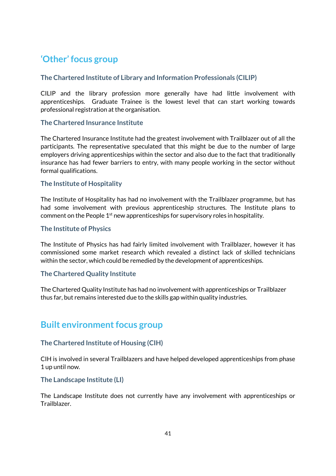### <span id="page-46-0"></span>**'Other' focus group**

#### **The Chartered Institute of Library and Information Professionals (CILIP)**

CILIP and the library profession more generally have had little involvement with apprenticeships. Graduate Trainee is the lowest level that can start working towards professional registration at the organisation.

#### **The Chartered Insurance Institute**

The Chartered Insurance Institute had the greatest involvement with Trailblazer out of all the participants. The representative speculated that this might be due to the number of large employers driving apprenticeships within the sector and also due to the fact that traditionally insurance has had fewer barriers to entry, with many people working in the sector without formal qualifications.

#### **The Institute of Hospitality**

The Institute of Hospitality has had no involvement with the Trailblazer programme, but has had some involvement with previous apprenticeship structures. The Institute plans to comment on the People  $1<sup>st</sup>$  new apprenticeships for supervisory roles in hospitality.

#### **The Institute of Physics**

The Institute of Physics has had fairly limited involvement with Trailblazer, however it has commissioned some market research which revealed a distinct lack of skilled technicians within the sector, which could be remedied by the development of apprenticeships.

#### **The Chartered Quality Institute**

The Chartered Quality Institute has had no involvement with apprenticeships or Trailblazer thus far, but remains interested due to the skills gap within quality industries.

#### <span id="page-46-1"></span>**Built environment focus group**

#### **The Chartered Institute of Housing (CIH)**

CIH is involved in several Trailblazers and have helped developed apprenticeships from phase 1 up until now.

#### **The Landscape Institute (LI)**

The Landscape Institute does not currently have any involvement with apprenticeships or Trailblazer.